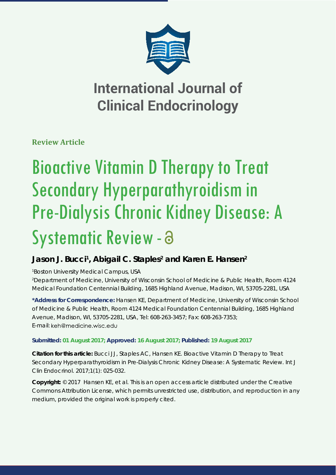

## **International Journal of Clinical Endocrinology**

**Review Article**

# Bioactive Vitamin D Therapy to Treat Secondary Hyperparathyroidism in Pre-Dialysis Chronic Kidney Disease: A Systematic Review - a

## Jason J. Bucci<sup>1</sup>, Abigail C. Staples<sup>2</sup> and Karen E. Hansen<sup>2</sup>

*1 Boston University Medical Campus, USA*

*2 Department of Medicine, University of Wisconsin School of Medicine & Public Health, Room 4124 Medical Foundation Centennial Building, 1685 Highland Avenue, Madison, WI, 53705-2281, USA*

**\*Address for Correspondence:** Hansen KE, Department of Medicine, University of Wisconsin School of Medicine & Public Health, Room 4124 Medical Foundation Centennial Building, 1685 Highland Avenue, Madison, WI, 53705-2281, USA, Tel: 608-263-3457; Fax: 608-263-7353; E-mail: keh@medicine.wisc.edu

### **Submitted: 01 August 2017; Approved: 16 August 2017; Published: 19 August 2017**

**Citation for this article:** Bucci JJ, Staples AC, Hansen KE. Bioactive Vitamin D Therapy to Treat Secondary Hyperparathyroidism in Pre-Dialysis Chronic Kidney Disease: A Systematic Review. Int J Clin Endocrinol. 2017;1(1): 025-032.

**Copyright:** © 2017 Hansen KE, et al. This is an open access article distributed under the Creative Commons Attribution License, which permits unrestricted use, distribution, and reproduction in any medium, provided the original work is properly cited.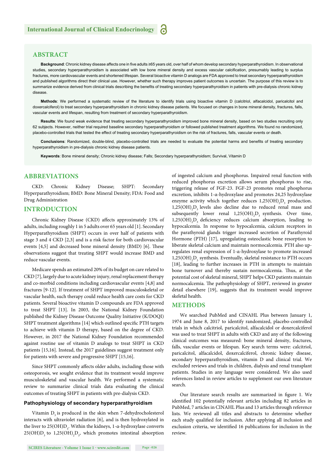#### **ABSTRACT**

Background: Chronic kidney disease affects one in five adults ≥65 years old, over half of whom develop secondary hyperparathyroidism. In observational studies, secondary hyperparathyroidism is associated with low bone mineral density and excess vascular calcification, presumably leading to surplus fractures, more cardiovascular events and shortened lifespan. Several bioactive vitamin D analogs are FDA approved to treat secondary hyperparathyroidism and published algorithms direct their clinical use. However, whether such therapy improves patient outcomes is uncertain. The purpose of this review is to summarize evidence derived from clinical trials describing the benefits of treating secondary hyperparathyroidism in patients with pre-dialysis chronic kidney disease.

**Methods**: We performed a systematic review of the literature to identify trials using bioactive vitamin D (calcitriol, alfacalcidol, paricalcitol and doxercalciferol) to treat secondary hyperparathyroidism in chronic kidney disease patients. We focused on changes in bone mineral density, fractures, falls, vascular events and lifespan, resulting from treatment of secondary hyperparathyroidism.

**Results**: We found weak evidence that treating secondary hyperparathyroidism improved bone mineral density, based on two studies recruiting only 62 subjects. However, neither trial required baseline secondary hyperparathyroidism or followed published treatment algorithms. We found no randomized, placebo-controlled trials that tested the effect of treating secondary hyperparathyroidism on the risk of fractures, falls, vascular events or death.

Conclusions: Randomized, double-blind, placebo-controlled trials are needed to evaluate the potential harms and benefits of treating secondary hyperparathyroidism in pre-dialysis chronic kidney disease patients.

**Keywords**: Bone mineral density; Chronic kidney disease; Falls; Secondary hyperparathyroidism; Survival, Vitamin D

#### **ABBREVIATIONS**

CKD: Chronic Kidney Disease; SHPT: Secondary Hyperparathyroidism; BMD: Bone Mineral Density; FDA: Food and Drug Administration

#### **INTRODUCTION**

Chronic Kidney Disease (CKD) affects approximately 13% of adults, including roughly 1 in 5 adults over 65 years old [1]. Secondary Hyperparathyroidism (SHPT) occurs in over half of patients with stage 3 and 4 CKD [2,3] and is a risk factor for both cardiovascular events [4,5] and decreased bone mineral density (BMD) [6]. These observations suggest that treating SHPT would increase BMD and reduce vascular events.

Medicare spends an estimated 20% of its budget on care related to CKD [7], largely due to acute kidney injury, renal replacement therapy and co-morbid conditions including cardiovascular events [4,8] and fractures [9-12]. If treatment of SHPT improved musculoskeletal or vascular health, such therapy could reduce health care costs for CKD patients. Several bioactive vitamin D compounds are FDA approved to treat SHPT [13]. In 2003, the National Kidney Foundation published the Kidney Disease Outcome Quality Initiative (K/DOQI) SHPT treatment algorithms [14] which outlined specific PTH targets to achieve with vitamin D therapy, based on the degree of CKD. However, in 2017 the National Kidney Foundation recommended against routine use of vitamin D analogs to treat SHPT in CKD patients [15,16]. Instead, the 2017 guidelines suggest treatment only for patients with severe and progressive SHPT [15,16].

Since SHPT commonly affects older adults, including those with osteoporosis, we sought evidence that its treatment would improve musculoskeletal and vascular health. We performed a systematic review to summarize clinical trials data evaluating the clinical outcomes of treating SHPT in patients with pre-dialysis CKD.

#### **Pathophysiology of secondary hyperparathyroidism**

Vitamin D<sub>3</sub> is produced in the skin when 7-dehydrocholesterol interacts with ultraviolet radiation [6], and is then hydroxylated in the liver to 25(OH)D<sub>3</sub>. Within the kidneys, 1-α-hydroxylase converts  $25(OH)D_3$  to  $1,25(OH)_2D_3$ , which promotes intestinal absorption of ingested calcium and phosphorus. Impaired renal function with reduced phosphorus excretion allows serum phosphorus to rise, triggering release of FGF-23. FGF-23 promotes renal phosphorus excretion, inhibits 1-α-hydroxylase and promotes 24,25 hydroxylase enzyme activity which together reduces  $1,25(OH)_{2}D_{3}$  production.  $1,25(OH)$ <sub>2</sub>D<sub>3</sub> levels also decline due to reduced renal mass and subsequently lower renal  $1,25(OH)_{2}D_{3}$  synthesis. Over time,  $1,25(OH)$ <sub>2</sub>D<sub>3</sub> deficiency reduces calcium absorption, leading to hypocalcemia. In response to hypocalcemia, calcium receptors in the parathyroid glands trigger increased secretion of Parathyroid Hormone (PTH) [17], upregulating osteoclastic bone resorption to liberate skeletal calcium and maintain normocalcemia. PTH also upregulates renal expression of 1-α-hydroxylase to promote increased  $1,\!25({\rm OH})_2{\rm D}_3$  synthesis. Eventually, skeletal resistance to PTH occurs [18], leading to further increases in PTH in attempts to maintain bone turnover and thereby sustain normocalcemia. Thus, at the potential cost of skeletal mineral, SHPT helps CKD patients maintain normocalcemia. The pathophysiology of SHPT, reviewed in greater detail elsewhere [19], suggests that its treatment would improve skeletal health.

#### **METHODS**

We searched PubMed and CINAHL Plus between January 1, 1974 and June 8, 2017 to identify randomized, placebo-controlled trials in which calcitriol, paricalcitol, alfacalcidol or doxercalciferol was used to treat SHPT in adults with CKD and any of the following clinical outcomes was measured: bone mineral density, fractures, falls, vascular events or lifespan. Key search terms were: calcitriol, paricalcitol, alfacalcidol, doxercalciferol, chronic kidney disease, secondary hyperparathyroidism, vitamin D and clinical trial. We excluded reviews and trials in children, dialysis and renal transplant patients. Studies in any language were considered. We also used references listed in review articles to supplement our own literature search.

Our literature search results are summarized in figure 1. We identified 102 potentially relevant articles including 82 articles in PubMed, 7 articles in CINAHL Plus and 13 articles through reference lists. We reviewed all titles and abstracts to determine whether each study qualified for inclusion. After applying all inclusion and exclusion criteria, we identified 16 publications for inclusion in the review.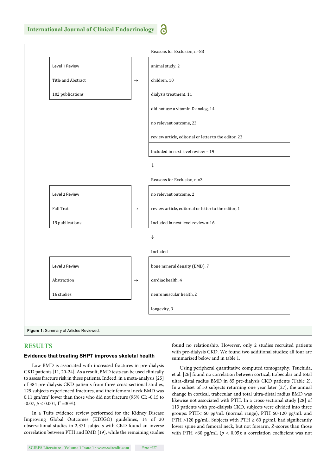

#### **RESULTS**

#### **Evidence that treating SHPT improves skeletal health**

Low BMD is associated with increased fractures in pre-dialysis CKD patients [11, 20-24]. As a result, BMD tests can be used clinically to assess fracture risk in these patients. Indeed, in a meta-analysis [25] of 384 pre-dialysis CKD patients from three cross-sectional studies, 129 subjects experienced fractures, and their femoral neck BMD was 0.11 gm/cm2 lower than those who did not fracture (95% CI: -0.15 to  $-0.07, p < 0.001, I^2 = 30\%$ ).

In a Tufts evidence review performed for the Kidney Disease Improving Global Outcomes (KDIGO) guidelines, 14 of 20 observational studies in 2,371 subjects with CKD found an inverse correlation between PTH and BMD [19], while the remaining studies found no relationship. However, only 2 studies recruited patients with pre-dialysis CKD. We found two additional studies; all four are summarized below and in table 1.

Using peripheral quantitative computed tomography, Tsuchida, et al. [26] found no correlation between cortical, trabecular and total ultra-distal radius BMD in 85 pre-dialysis CKD patients (Table 2). In a subset of 53 subjects returning one year later [27], the annual change in cortical, trabecular and total ultra-distal radius BMD was likewise not associated with PTH. In a cross-sectional study [28] of 113 patients with pre-dialysis CKD, subjects were divided into three groups: PTH< 60 pg/mL (normal range), PTH 60-120 pg/mL and PTH >120 pg/mL. Subjects with PTH  $\geq$  60 pg/mL had significantly lower spine and femoral neck, but not forearm, Z-scores than those with PTH <60 pg/mL ( $p < 0.05$ ); a correlation coefficient was not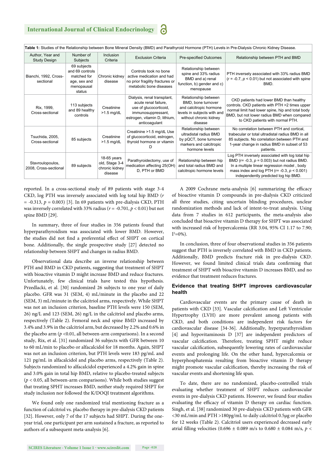| Table 1: Studies of the Relationship between Bone Mineral Density (BMD) and Parathyroid Hormone (PTH) Levels in Pre-Dialysis Chronic Kidney Disease. |                                                                                       |                                                            |                                                                                                                                                       |                                                                                                                                           |                                                                                                                                                                                                                                                       |  |  |  |
|------------------------------------------------------------------------------------------------------------------------------------------------------|---------------------------------------------------------------------------------------|------------------------------------------------------------|-------------------------------------------------------------------------------------------------------------------------------------------------------|-------------------------------------------------------------------------------------------------------------------------------------------|-------------------------------------------------------------------------------------------------------------------------------------------------------------------------------------------------------------------------------------------------------|--|--|--|
| Author, Year and<br><b>Study Design</b>                                                                                                              | Number of<br>Subjects                                                                 | <b>Inclusion</b><br>Criteria                               | <b>Exclusion Criteria</b>                                                                                                                             | Pre-specified Outcomes                                                                                                                    | Relationship between PTH and BMD                                                                                                                                                                                                                      |  |  |  |
| Bianchi, 1992, Cross-<br>sectional                                                                                                                   | 69 subjects<br>and 69 controls<br>matched for<br>age, sex and<br>menopausal<br>status | Chronic kidney<br>disease                                  | Controls took no bone<br>active medication and had<br>no prior fragility fractures or<br>metabolic bone diseases                                      | Relationship between<br>spine and 33% radius<br>BMD and a) renal<br>function, b) gender and c)<br>menopause                               | PTH inversely associated with 33% radius BMD<br>$(r = -0.7, p < 0.01)$ but not associated with spine<br>BMD.                                                                                                                                          |  |  |  |
| Rix, 1999,<br>Cross-sectional                                                                                                                        | 113 subjects<br>and 89 healthy<br>controls                                            | Creatinine<br>$>1.5$ mg/dL                                 | Dialysis, renal transplant,<br>acute renal failure.<br>use of glucocorticoid,<br>immunosuppressant,<br>estrogen, vitamin D, lithium,<br>anticoaqulant | Relationship between<br>BMD, bone turnover<br>and calcitropic hormone<br>levels in subjects with and<br>without chronic kidney<br>disease | CKD patients had lower BMD than healthy<br>controls. CKD patients with PTH >2 times upper<br>normal limit had lower spine, hip and total body<br>BMD, but not lower radius BMD when compared<br>to CKD patients with normal PTH.                      |  |  |  |
| Tsuchida, 2005,<br>Cross-sectional                                                                                                                   | 85 subjects                                                                           | Creatinine<br>$>1.5$ mg/dL                                 | Creatinine >1.5 mg/dL Use<br>of glucocorticoid, estrogen,<br>thyroid hormone or vitamin                                                               | Relationship between<br>ultradistal radius BMD<br>by pQCT, bone turnover<br>markers and calcitropic<br>hormone levels                     | No correlation between PTH and cortical.<br>trabecular or total ultradistal radius BMD in all<br>85 subjects. No correlation between PTH and<br>1-year change in radius BMD in subset of 53<br>patients.                                              |  |  |  |
| Stavroulopoulos,<br>2008, Cross-sectional                                                                                                            | 89 subjects                                                                           | 18-65 years<br>old, Stage 3-4<br>chronic kidney<br>disease | Parathyroidectomy, use of<br>medication affecting 25(OH)<br>D, PTH or BMD                                                                             | Relationship between hip<br>and total radius BMD and<br>calcitropic hormone levels                                                        | Log PTH inversely associated with log total hip<br>BMD ( $r = -0.3$ , $p = 0.003$ ) but not radius BMD.<br>In a multiple linear regression model, body<br>mass index and log PTH ( $r = -0.3$ , $p < 0.001$ )<br>independently predicted log hip BMD. |  |  |  |

reported. In a cross-sectional study of 89 patients with stage 3-4 CKD, log PTH was inversely associated with log total hip BMD (*r*   $= -0.313$ ,  $p = 0.003$  [3]. In 69 patients with pre-dialysis CKD, PTH was inversely correlated with 33% radius (*r* = -0.701, *p* < 0.01) but not spine BMD [29].

In summary, three of four studies in 356 patients found that hyperparathyroidism was associated with lower BMD. However, the studies did not find a preferential effect of SHPT on cortical bone. Additionally, the single prospective study [27] detected no relationship between SHPT and changes in radius BMD.

Observational data describe an inverse relationship between PTH and BMD in CKD patients, suggesting that treatment of SHPT with bioactive vitamin D might increase BMD and reduce fractures. Unfortunately, few clinical trials have tested this hypothesis. Przedlacki, et al. [30] randomized 26 subjects to one year of daily placebo. GFR was 31 (SEM, 4) mL/minute in the placebo and 22 (SEM, 3) mL/minute in the calcitriol arms, respectively. While SHPT was not an inclusion criterion, baseline PTH levels were 150 (SEM, 26) ng/L and 123 (SEM, 26) ng/L in the calcitriol and placebo arms, respectively (Table 2). Femoral neck and spine BMD increased by 3.4% and 3.9% in the calcitriol arm, but decreased by 2.2% and 0.6% in the placebo arm (*p* <0.01, all between-arm comparisons). In a second study, Rix, et al. [31] randomized 36 subjects with GFR between 10 to 60 mL/min to placebo or alfacalcidol for 18 months. Again, SHPT was not an inclusion criterion, but PTH levels were 183 pg/mL and 121 pg/mL in alfacalcidol and placebo arms, respectively (Table 2). Subjects randomized to alfacalcidol experienced a 4.2% gain in spine and 3.0% gain in total hip BMD, relative to placebo-treated subjects  $(p < 0.05$ , all between-arm comparisons). While both studies suggest that treating SPHT increases BMD, neither study required SHPT for study inclusion nor followed the K/DOQI treatment algorithms.

We found only one randomized trial mentioning fracture as a function of calcitriol vs. placebo therapy in pre-dialysis CKD patients [32]. However, only 7 of the 17 subjects had SHPT. During the oneyear trial, one participant per arm sustained a fracture, as reported to authors of a subsequent meta-analysis [6].

A 2009 Cochrane meta-analysis [6] summarizing the efficacy of bioactive vitamin D compounds in pre-dialysis CKD criticized all three studies, citing uncertain blinding procedures, unclear randomization methods and lack of intent-to-treat analysis. Using data from 7 studies in 612 participants, the meta-analysis also concluded that bioactive vitamin D therapy for SHPT was associated with increased risk of hypercalcemia (RR 3.04, 95% CI 1.17 to 7.90;  $I^2 = 0\%$ ).

In conclusion, three of four observational studies in 356 patients suggest that PTH is inversely correlated with BMD in CKD patients. Additionally, BMD predicts fracture risk in pre-dialysis CKD. However, we found limited clinical trials data confirming that treatment of SHPT with bioactive vitamin D increases BMD, and no evidence that treatment reduces fractures.

#### **Evidence that treating SHPT improves cardiovascular health**

Cardiovascular events are the primary cause of death in patients with CKD [33]. Vascular calcification and Left Ventricular Hypertrophy (LVH) are more prevalent among patients with CKD, and both conditions are independent risk factors for cardiovascular disease [34-36]. Additionally, hyperparathyroidism [4] and hypovitaminosis D [37] are independent predictors of vascular calcification. Therefore, treating SPHT might reduce vascular calcification, subsequently lowering rates of cardiovascular events and prolonging life. On the other hand, hypercalcemia or hyperphosphatemia resulting from bioactive vitamin D therapy might promote vascular calcification, thereby increasing the risk of vascular events and shortening life span.

To date, there are no randomized, placebo-controlled trials evaluating whether treatment of SHPT reduces cardiovascular events in pre-dialysis CKD patients. However, we found four studies evaluating the efficacy of vitamin D therapy on cardiac function. Singh, et al. [38] randomized 30 pre-dialysis CKD patients with GFR <30 mL/min and PTH >180pg/mL to daily calcitriol 0.5μg or placebo for 12 weeks (Table 2). Calcitriol users experienced decreased early atrial filling velocities (0.696  $\pm$  0.089 m/s to 0.680  $\pm$  0.084 m/s,  $p$  <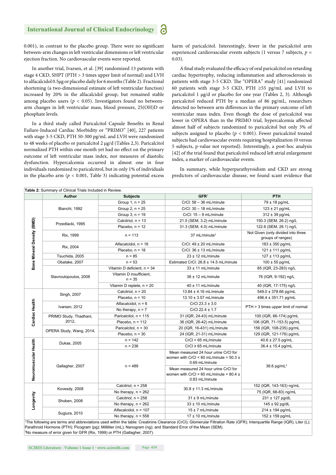#### **International Journal of Clinical Endocrinology**

0.001), in contrast to the placebo group. There were no significant between-arm changes in left ventricular dimensions or left ventricular ejection fraction. No cardiovascular events were reported.

In another trial, Ivarsen, et al. [39] randomized 13 patients with stage 4 CKD, SHPT (PTH > 3 times upper limit of normal) and LVH to alfacalcidol 0.5μg or placebo daily for 6 months (Table 2). Fractional shortening (a two-dimensional estimate of left ventricular function) increased by 20% in the alfacalcidol group, but remained stable among placebo users ( $p < 0.05$ ). Investigators found no betweenarm changes in left ventricular mass, blood pressure, 25(OH)D or phosphate levels.

In a third study called Paricalcitol Capsule Benefits in Renal Failure-Induced Cardiac Morbidity or "PRIMO" [40], 227 patients with stage 3-5 CKD, PTH 50-300 pg/mL and LVH were randomized to 48 weeks of placebo or paricalcitol 2 μg/d (Tables 2,3). Paricalcitol normalized PTH within one month yet had no effect on the primary outcome of left ventricular mass index, nor measures of diastolic dysfunction. Hypercalcemia occurred in almost one in four individuals randomized to paricalcitrol, but in only 1% of individuals in the placebo arm  $(p < 0.001,$  Table 3) indicating potential excess harm of paricalcitol. Interestingly, fewer in the paricalcitol arm experienced cardiovascular events subjects (1 versus 7 subjects, *p* = 0.03).

A final study evaluated the efficacy of oral paricalcitol on retarding cardiac hypertrophy, reducing inflammation and atherosclerosis in patients with stage 3-5 CKD. The "OPERA" study [41] randomized 60 patients with stage 3-5 CKD, PTH ≥55 pg/mL and LVH to paricalcitol 1 μg/d or placebo for one year (Tables 2, 3). Although paricalcitol reduced PTH by a median of 86 pg/mL, researchers detected no between arm differences in the primary outcome of left ventricular mass index. Even though the dose of paricalcitol was lower in OPERA than in the PRIMO trial, hypercalcemia affected almost half of subjects randomized to paricalcitol but only 3% of subjects assigned to placebo ( $p < 0.001$ ). Fewer paricalcitol treated subjects had cardiovascular events requiring hospitalization (0 versus 5 subjects, p-value not reported). Interestingly, a post-hoc analysis [42] of the trial found that paricalcitol reduced left atrial enlargement index, a marker of cardiovascular events.

In summary, while hyperparathyroidism and CKD are strong predictors of cardiovascular disease, we found scant evidence that

|                            | Author                   | <b>Subjects</b>                                  | GFR <sup>1</sup>                                                                                      | <b>PTH</b>                                              |  |
|----------------------------|--------------------------|--------------------------------------------------|-------------------------------------------------------------------------------------------------------|---------------------------------------------------------|--|
| Bone Mineral Density (BMD) |                          | Group 1, $n = 25$                                | $CrCl: 58 - 36$ mL/minute                                                                             | 79 ± 18 pg/mL                                           |  |
|                            | Bianchi, 1992            | Group 2, $n = 25$                                | CrCl: 30 - 18 mL/minute                                                                               | $123 \pm 21$ pg/mL                                      |  |
|                            |                          | Group $3, n = 19$                                | CrCl: 15 - 9 mL/minute                                                                                | $312 \pm 39$ pg/mL                                      |  |
|                            |                          | Calcitriol, $n = 13$                             | 21.5 (SEM, 3.2) mL/minute                                                                             | 150.3 (SEM, 26.2) ng/L                                  |  |
|                            | Przedlacki, 1995         | Placebo. $n = 12$<br>31.3 (SEM, 4.0) mL/minute   |                                                                                                       | 122.6 (SEM, 26.1) ng/L                                  |  |
|                            | Rix, 1999                | $n = 113$                                        | 37 mL/minute <sup>2</sup>                                                                             | Not Given (only divided into three<br>groups of ranges) |  |
|                            |                          | Alfacalcidol, $n = 18$                           | CrCl: $49 \pm 20$ mL/minute                                                                           | 183 ± 350 pg/mL                                         |  |
|                            | Rix, 2004                | Placebo, $n = 18$<br>CrCl: $36 \pm 13$ mL/minute |                                                                                                       | 121 ± 111 pg/mL                                         |  |
|                            | Tsuchida, 2005           | $n = 85$<br>$23 \pm 12$ mL/minute                |                                                                                                       | 127 ± 113 pg/mL                                         |  |
|                            | Obatake, 2007            | $n = 53$                                         | Estimated CrCI: 26.8 ± 14.5 mL/minute                                                                 | $100 \pm 55$ pg/mL                                      |  |
|                            |                          | Vitamin D deficient, $n = 34$                    | $33 \pm 11$ mL/minute                                                                                 | 85 (IQR, 23-283) ng/L                                   |  |
|                            | Stavroulopoulos, 2008    | Vitamin D insufficient.<br>$n = 35$              | $38 \pm 12$ mL/minute                                                                                 |                                                         |  |
|                            |                          | Vitamin D replete, $n = 20$                      | $40 \pm 11$ mL/minute                                                                                 | 40 (IQR, 17-175) ng/L                                   |  |
|                            |                          | Calcitriol, n = 20                               | $13.84 \pm 4.16$ mL/minute                                                                            | 549.0 ± 378.66 pg/mL                                    |  |
|                            | Singh, 2007              | Placebo, $n = 10$                                | $13.10 \pm 3.57$ mL/minute                                                                            | 496.4 ± 351.71 pg/mL                                    |  |
|                            |                          | Alfacalcidol, $n = 6$                            | CrCl $23.3 \pm 3.0$                                                                                   | PTH > 3 times upper limit of normal                     |  |
|                            | Ivarsen, 2012            | No therapy, $n = 7$                              | CrCl $22.4 \pm 1.7$                                                                                   |                                                         |  |
| Cardiac Health             | PRIMO Study, Thadhani,   | Paricalcitol, n = 115                            | 31 (IQR, 24-43) mL/minute                                                                             | 100 (IQR, 66-174) pg/mL                                 |  |
|                            | 2012,                    | Placebo, $n = 112$                               | 36 (IQR, 26-42) mL/minute                                                                             | 106 (IQR, 71-153.5) pg/mL                               |  |
|                            |                          | Paricalcitol, $n = 30$                           | 20 (IQR, 16-431) mL/minute                                                                            | 156 (IQR, 108-235) pg/mL                                |  |
|                            | OPERA Study, Wang, 2014, | Placebo, $n = 30$                                | 24 (IQR, 21-31) mL/minute                                                                             | 129 (IQR, 121-176) pg/mL                                |  |
|                            | Dukas, 2005              | $n = 142$                                        | $CrCl < 65$ mL/minute                                                                                 | 40.6 ± 27.5 pg/mL                                       |  |
|                            |                          | $n = 236$                                        | $CrCl \geq 65$ mL/minute                                                                              | $36.4 \pm 15.4$ pg/mL                                   |  |
| Neuromuscular Health       | Gallagher, 2007          | $n = 489$                                        | Mean measured 24 hour urine CrCl for<br>women with CrCl < 60 mL/minute = $50.3 \pm$<br>0.69 mL/minute | $36.6$ pg/mL <sup>2</sup>                               |  |
|                            |                          |                                                  | Mean measured 24 hour urine CrCl for<br>women with CrCl > 60 mL/minute = $80.4 \pm$<br>0.83 mL/minute |                                                         |  |
|                            | Kovesdy, 2008            | Calcitriol, n = 258                              | 30.8 ± 11.3 mL/minute                                                                                 | 152 (IQR, 143-163) ng/mL                                |  |
| Longevity                  |                          | No therapy, $n = 262$                            |                                                                                                       | 75 (IQR, 68-83) ng/mL                                   |  |
|                            | Shoben, 2008             | Calcitriol, n = 258                              | $31 \pm 9$ mL/minute                                                                                  | 231 ± 127 pg/dL                                         |  |
|                            |                          | No therapy, $n = 262$                            | $33 \pm 10$ mL/minute                                                                                 | $145 \pm 92$ pg/dL                                      |  |
|                            | Sugiura, 2010            | Alfacalcidol, $n = 107$                          | $15 \pm 7$ mL/minute                                                                                  | 214 ± 194 pg/mL                                         |  |
|                            |                          | No therapy, $n = 558$                            | $17 \pm 10$ mL/minute                                                                                 | 152 ± 159 pg/mL                                         |  |

1 The following are terms and abbreviations used within the table: Creatinine Clearance (CrCl); Glomerular Filtration Rate (GFR); Interquartile Range (IQR); Liter (L); Parathroid Hormone (PTH); Picogram (pg); Milliliter (mL); Nanogram (ng); and Standard Error of the Mean (SEM). 2 No measure of error given for GFR (Rix, 1999) or PTH (Gallagher, 2007).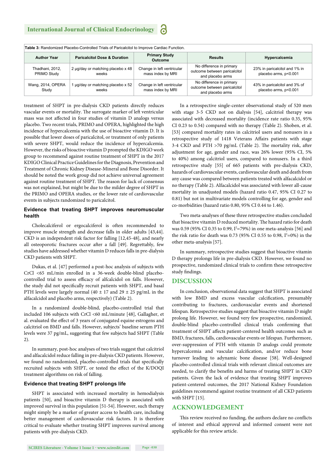| Table 3: Randomized Placebo-Controlled Trials of Paricalcitol to Improve Cardiac Function. |                                            |                                                          |                                                                              |                                                        |  |  |  |  |  |
|--------------------------------------------------------------------------------------------|--------------------------------------------|----------------------------------------------------------|------------------------------------------------------------------------------|--------------------------------------------------------|--|--|--|--|--|
| <b>Author Year</b>                                                                         | <b>Paricalcitol Dose &amp; Duration</b>    | <b>Primary Study</b><br><b>Results</b><br><b>Outcome</b> |                                                                              | Hypercalcemia                                          |  |  |  |  |  |
| Thadhani, 2012,<br>PRIMO Study                                                             | 2 µg/day or matching placebo x 48<br>weeks | Change in left ventricular<br>mass index by MRI          | No difference in primary<br>outcome between paricalcitol<br>and placebo arms | 23% in paricalcitol and 1% in<br>placebo arms, p<0.001 |  |  |  |  |  |
| Wang, 2014, OPERA<br>Study                                                                 | 1 µg/day or matching placebo x 52<br>weeks | Change in left ventricular<br>mass index by MRI          | No difference in primary<br>outcome between paricalcitol<br>and placebo arms | 43% in paricalcitol and 3% of<br>placebo arms, p<0.001 |  |  |  |  |  |

treatment of SHPT in pre-dialysis CKD patients directly reduces vascular events or mortality. The surrogate marker of left ventricular mass was not affected in four studies of vitamin D analogs versus placebo. Two recent trials, PRIMO and OPERA, highlighted the high incidence of hypercalcemia with the use of bioactive vitamin D. It is possible that lower doses of paricalcitol, or treatment of only patients with severe SHPT, would reduce the incidence of hypercalcemia. However, the risks of bioactive vitamin D prompted the KDIGO work group to recommend against routine treatment of SHPT in the 2017 KDIGO Clinical Practice Guidelines for the Diagnosis, Prevention and Treatment of Chronic Kidney Disease-Mineral and Bone Disorder. It should be noted the work group did not achieve universal agreement against routine treatment of SHPT. The reason for lack of consensus was not explained, but might be due to the milder degree of SHPT in the PRIMO and OPERA studies, or the lower rate of cardiovascular events in subjects randomized to paricalcitol.

#### **Evidence that treating SHPT improves neuromuscular health**

Cholecalciferol or ergocalciferol is often recommended to improve muscle strength and decrease falls in older adults [43,44]. CKD is an independent risk factor for falling [12,45-48], and nearly all osteoporotic fractures occur after a fall [49]. Regrettably, few studies have addressed whether vitamin D reduces falls in pre-dialysis CKD patients with SHPT.

Dukas, et al. [47] performed a post-hoc analysis of subjects with CrCl <65 mL/min enrolled in a 36-week double-blind placebocontrolled trial to assess efficacy of alfcalcidol on falls. However, the study did not specifically recruit patients with SHPT, and basal PTH levels were largely normal (40  $\pm$  17 and 29  $\pm$  25 pg/mL in the alfacalcidol and placebo arms, respectively) (Table 2).

In a randomized double-blind, placebo-controlled trial that included 106 subjects with CrCl <60 mL/minute [48], Gallagher, et al. evaluated the effect of 3 years of conjugated equine estrogens and calcitriol on BMD and falls. However, subjects' baseline serum PTH levels were 37 pg/mL, suggesting that few subjects had SHPT (Table 2).

In summary, post-hoc analyses of two trials suggest that calcitriol and alfacalcidol reduce falling in pre-dialysis CKD patients. However, we found no randomized, placebo-controlled trials that specifically recruited subjects with SHPT, or tested the effect of the K/DOQI treatment algorithms on risk of falling.

#### **Evidence that treating SHPT prolongs life**

SHPT is associated with increased mortality in hemodialysis patients [50], and bioactive vitamin D therapy is associated with improved survival in this population [51-54]. However, such therapy might simply be a marker of greater access to health care, including better management of cardiovascular risk factors. It is therefore critical to evaluate whether treating SHPT improves survival among patients with pre-dialysis CKD.

In a retrospective single-center observational study of 520 men with stage 3-5 CKD not on dialysis [54], calcitriol therapy was associated with decreased mortality (incidence rate ratio 0.35, 95% CI 0.23 to 0.54) compared with no therapy (Table 2). Shoben, et al. [53] compared mortality rates in calcitriol users and nonusers in a retrospective study of 1418 Veterans Affairs patients with stage 3-4 CKD and PTH  $>70$  pg/mL (Table 2). The mortality risk, after adjustment for age, gender and race, was 26% lower (95% CI, 5% to 40%) among calcitriol users, compared to nonusers. In a third retrospective study [55] of 665 patients with pre-dialysis CKD, hazards of cardiovascular events, cardiovascular death and death from any cause was compared between patients treated with alfacalcidol or no therapy (Table 2). Alfacalcidol was associated with lower all-cause mortality in unadjusted models (hazard ratio 0.47, 95% CI 0.27 to 0.81) but not in multivariate models controlling for age, gender and co-morbidities (hazard ratio 0.80, 95% CI 0.44 to 1.46).

Two meta-analyses of these three retrospective studies concluded that bioactive vitamin D reduced mortality. The hazard ratio for death was 0.59 (95% CI 0.35 to 0.99,  $I^2$ =79%) in one meta-analysis [56] and the risk ratio for death was 0.73 (95% CI 0.55 to 0.98,  $I^2=0\%$ ) in the other meta-analysis [57].

In summary, retrospective studies suggest that bioactive vitamin D therapy prolongs life in pre-dialysis CKD. However, we found no prospective, randomized clinical trials to confirm these retrospective study findings.

#### **DISCUSSION**

In conclusion, observational data suggest that SHPT is associated with low BMD and excess vascular calcification, presumably contributing to fractures, cardiovascular events and shortened lifespan. Retrospective studies suggest that bioactive vitamin D might prolong life. However, we found very few prospective, randomized, double-blind placebo-controlled clinical trials confirming that treatment of SHPT affects patient-centered health outcomes such as BMD, fractures, falls, cardiovascular events or lifespan. Furthermore, over-suppression of PTH with vitamin D analogs could promote hypercalcemia and vascular calcification, and/or reduce bone turnover leading to adynamic bone disease [58]. Well-designed placebo-controlled clinical trials with relevant clinical outcomes are needed, to clarify the benefits and harms of treating SHPT in CKD patients. Given the lack of evidence that treating SHPT improves patient-centered outcomes, the 2017 National Kidney Foundation guidelines recommend against routine treatment of all CKD patients with SHPT [15].

#### **ACKNOWLEDGEMENT**

This review received no funding, the authors declare no conflicts of interest and ethical approval and informed consent were not applicable for this review article.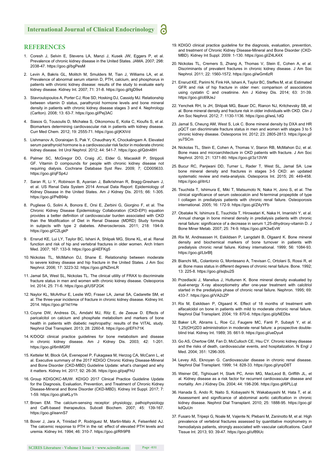#### **REFERENCES**

- 1. Coresh J, Selvin E, Stevens LA, Manzi J, Kusek JW, Eggers P, et al. Prevalence of chronic kidney disease in the United States. JAMA. 2007; 298: 2038-47. https://goo.gl/bgPesM
- 2. Levin A, Bakris GL, Molitch M, Smulders M, Tian J, Williams LA, et al. Prevalence of abnormal serum vitamin D, PTH, calcium, and phosphorus in patients with chronic kidney disease: results of the study to evaluate early kidney disease. Kidney Int. 2007; 71: 31-8. https://goo.gl/tgD9s4
- 3. Stavroulopoulos A, Porter CJ, Roe SD, Hosking DJ, Cassidy MJ. Relationship between vitamin D status, parathyroid hormone levels and bone mineral density in patients with chronic kidney disease stages 3 and 4. Nephrology (Carlton). 2008; 13: 63-7. https://goo.gl/Pej3AC
- 4. Siasos G, Tousoulis D, Michalea S, Oikonomou E, Kolia C, Kioufis S, et al. Biomarkers determining cardiovascular risk in patients with kidney disease. Curr Med Chem. 2012; 19: 2555-71. https://goo.gl/jKXiVd
- 5. Lishmanov A, Dorairajan S, Pak Y, Chaudhary K, Chockalingam A. Elevated serum parathyroid hormone is a cardiovascular risk factor in moderate chronic kidney disease. Int Urol Nephrol. 2012; 44: 541-7. https://goo.gl/Qdn48H
- 6. Palmer SC, McGregor DO, Craig JC, Elder G, Macaskill P, Strippoli GF. Vitamin D compounds for people with chronic kidney disease not requiring dialysis. Cochrane Database Syst Rev. 2009; 7; CD005633. https://goo.gl/qFSp4J
- 7. Saran R, Li Y, Robinson B, Ayanian J, Balkrishnan R, Bragg-Gresham J, et al. US Renal Data System 2014 Annual Data Report: Epidemiology of Kidney Disease in the United States. Am J Kidney Dis. 2015; 66: 1-305. https://goo.gl/PeB94p
- 8. Pugliese G, Solini A, Bonora E, Orsi E, Zerbini G, Giorgino F, et al. The Chronic Kidney Disease Epidemiology Collaboration (CKD-EPI) equation provides a better definition of cardiovascular burden associated with CKD than the Modification of Diet in Renal Disease (MDRD) Study formula in subjects with type 2 diabetes. Atherosclerosis. 2011; 218: 194-9. https://goo.gl/C2LgkP
- 9. Ensrud KE, Lui LY, Taylor BC, Ishani A, Shlipak MG, Stone KL, et al. Renal function and risk of hip and vertebral fractures in older women. Arch Intern Med. 2007; 167: 133-9. https://goo.gl/4EFKg5.
- 10. Nickolas TL, McMahon DJ, Shane E. Relationship between moderate to severe kidney disease and hip fracture in the United States. J Am Soc Nephrol. 2006; 17: 3223-32. https://goo.gl/NZimLR
- 11. Jamal SA, West SL, Nickolas TL. The clinical utility of FRAX to discriminate fracture status in men and women with chronic kidney disease. Osteoporos Int. 2014; 25: 71-6. https://goo.gl/USF2GK
- 12. Naylor KL, McArthur E, Leslie WD, Fraser LA, Jamal SA, Cadarette SM, et al. The three-year incidence of fracture in chronic kidney disease. Kidney Int. 2014. https://goo.gl/1kt1He
- 13. Coyne DW, Andress DL, Amdahl MJ, Ritz E, de Zeeuw D. Effects of paricalcitol on calcium and phosphate metabolism and markers of bone health in patients with diabetic nephropathy: results of the VITAL study. Nephrol Dial Transplant. 2013; 28: 2260-8. https://goo.gl/EFh71K
- 14. K/DOQI clinical practice guidelines for bone metabolism and disease in chronic kidney disease. Am J Kidney Dis. 2003; 42: 1-201. https://goo.gl/6mMGRf
- 15. Ketteler M, Block GA, Evenepoel P, Fukagawa M, Herzog CA, McCann L, et al. Executive summary of the 2017 KDIGO Chronic Kidney Disease-Mineral and Bone Disorder (CKD-MBD) Guideline Update: what's changed and why it matters. Kidney Int. 2017; 92: 26-36. https://goo.gl/pajFhU
- 16. Group KDIGOKC-MUW. KDIGO 2017 Clinical Practice Guideline Update for the Diagnosis, Evaluation, Prevention, and Treatment of Chronic Kidney Disease-Mineral and Bone Disorder (CKD-MBD). Kidney Int Suppl. 2017; 7: 1-59. https://goo.gl/aKLy1h
- 17. Brown EM. The calcium-sensing receptor: physiology, pathophysiology and CaR-based therapeutics. Subcell Biochem. 2007; 45: 139-167. https://goo.gl/eannS7
- 18. Bover J, Jara A, Trinidad P, Rodriguez M, Martin-Malo A, Felsenfeld AJ. The calcemic response to PTH in the rat: effect of elevated PTH levels and uremia. Kidney Int. 1994; 46: 310-7. https://goo.gl/Rfr9P8
- 20. Nickolas TL, Cremers S, Zhang A, Thomas V, Stein E, Cohen A, et al. Discriminants of prevalent fractures in chronic kidney disease. J Am Soc Nephrol. 2011; 22: 1560-1572. https://goo.gl/wGm6zR
- 21. Ensrud KE, Parimi N, Fink HA, Ishani A, Taylor BC, Steffes M, et al. Estimated GFR and risk of hip fracture in older men: comparison of associations using cystatin C and creatinine. Am J Kidney Dis. 2014; 63: 31-39. https://goo.gl/c69UeJ
- 22. Yenchek RH, Ix JH, Shlipak MG, Bauer DC, Rianon NJ, Kritchevsky SB, et al. Bone mineral density and fracture risk in older individuals with CKD. Clin J Am Soc Nephrol. 2012; 7: 1130-1136. https://goo.gl/wsL1dQ
- 23. Jamal S, Cheung AM, West S, Lok C. Bone mineral density by DXA and HR pQCT can discriminate fracture status in men and women with stages 3 to 5 chronic kidney disease. Osteoporos Int. 2012; 23: 2805-2813. https://goo.gl/ yu7SCm
- 24. Nickolas TL, Stein E, Cohen A, Thomas V, Staron RB, McMahon DJ, et al. Bone mass and microarchitecture in CKD patients with fracture. J Am Soc Nephrol. 2010; 21: 1371-80. https://goo.gl/3z13VW
- 25. Bucur RC, Panjwani DD, Turner L, Rader T, West SL, Jamal SA. Low bone mineral density and fractures in stages 3-5 CKD: an updated systematic review and meta-analysis. Osteoporos Int. 2015; 26: 449-458. https://goo.gl/itrrLt
- 26. Tsuchida T, Ishimura E, Miki T, Matsumoto N, Naka H, Jono S, et al. The clinical significance of serum osteocalcin and N-terminal propeptide of type I collagen in predialysis patients with chronic renal failure. Osteoporosis international. 2005; 16: 172-9. https://goo.gl/Z4yYFb
- 27. Obatake N, Ishimura E, Tsuchida T, Hirowatari K, Naka H, Imanishi Y, et al. Annual change in bone mineral density in predialysis patients with chronic renal failure: significance of a decrease in serum 1.25-dihydroxy-vitamin D. J Bone Miner Metab. 2007; 25: 74-9. https://goo.gl/K3wEvW
- 28. Rix M, Andreassen H, Eskildsen P, Langdahl B, Olgaard K. Bone mineral density and biochemical markers of bone turnover in patients with predialysis chronic renal failure. Kidney international. 1999; 56: 1084-93. https://goo.gl/LbrBfj
- 29. Bianchi ML, Colantonio G, Montesano A, Trevisan C, Ortolani S, Rossi R, et al. Bone mass status in different degrees of chronic renal failure. Bone. 1992; 13: 225-8. https://goo.gl/sqbu2S
- 30. Przedlacki J, Manelius J, Huttunen K. Bone mineral density evaluated by dual-energy X-ray absorptiometry after one-year treatment with calcitriol started in the predialysis phase of chronic renal failure. Nephron. 1995; 69: 433-7. https://goo.gl/VA2cZP
- 31. Rix M, Eskildsen P, Olgaard K. Effect of 18 months of treatment with alfacalcidol on bone in patients with mild to moderate chronic renal failure. Nephrol Dial Transplant. 2004; 19: 870-6. https://goo.gl/pNEDbx
- 32. Baker LR, Abrams L, Roe CJ, Faugere MC, Fanti P, Subayti Y, et al. 1,25(OH)2D3 administration in moderate renal failure: a prospective doubleblind trial. Kidney Int. 1989; 35: 661-9. https://goo.gl/ueDyu4
- 33. Go AS, Chertow GM, Fan D, McCulloch CE, Hsu CY. Chronic kidney disease and the risks of death, cardiovascular events, and hospitalization. N Engl J Med. 2004; 351: 1296-305.
- 34. Levey AS, Eknoyan G. Cardiovascular disease in chronic renal disease. Nephrol Dial Transplant. 1999; 14: 828-33. https://goo.gl/ynpD8T
- 35. Weiner DE, Tighiouart H, Stark PC, Amin MG, MacLeod B, Griffith JL, et al. Kidney disease as a risk factor for recurrent cardiovascular disease and mortality. Am J Kidney Dis. 2004; 44: 198-206. https://goo.gl/6PLLqt
- 36. Hanada S, Ando R, Naito S, Kobayashi N, Wakabayashi M, Hata T, et al. Assessment and significance of abdominal aortic calcification in chronic kidney disease. Nephrol Dial Transplant. 2010; 25: 1888-95. https://goo.gl/ kdQuUn
- 37. Fusaro M, Tripepi G, Noale M, Vajente N, Plebani M, Zaninotto M, et al. High prevalence of vertebral fractures assessed by quantitative morphometry in hemodialysis patients, strongly associated with vascular calcifications. Calcif Tissue Int. 2013; 93: 39-47. https://goo.gl/uf89Uc